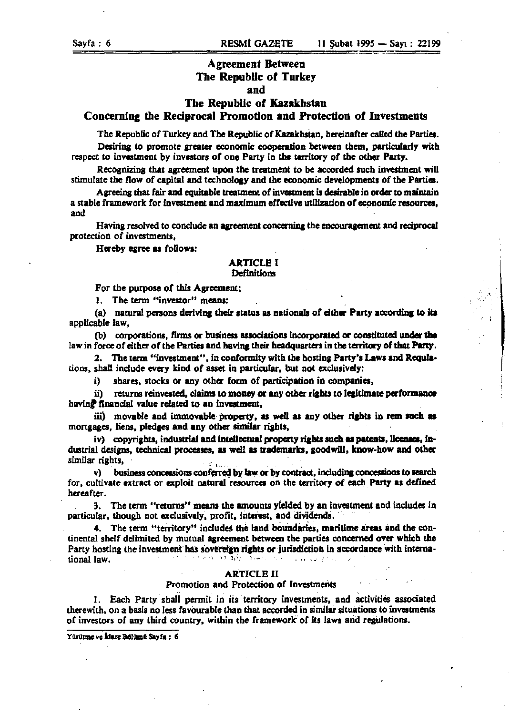# **Agreement Between** The Republic of Turkey and

# The Republic of Kazakhstan Concerning the Reciprocal Promotion and Protection of Investments

The Republic of Turkey and The Republic of Kazakhstan, hereinafter called the Parties. Desiring to promote greater economic cooperation between them, particularly with respect to investment by investors of one Party in the territory of the other Party.

Recognizing that agreement upon the treatment to be accorded such investment will stimulate the flow of capital and technology and the economic developments of the Parties.

Agreeing that fair and equitable treatment of investment is desirable in order to maintain a stable framework for investment and maximum effective utilization of economic resources, and

Having resolved to conclude an agreement concerning the encouragement and reciprocal protection of investments.

Hereby agree as follows:

# **ARTICLE I**

## **Definitions**

For the purpose of this Agreement;

1. The term "investor" means:

(a) natural persons deriving their status as nationals of either Party according to its applicable law.

(b) corporations, firms or business associations incorporated or constituted under the law in force of either of the Parties and having their headquarters in the territory of that Party.

The term "investment", in conformity with the hosting Party's Laws and Requlations, shall include every kind of asset in particular, but not exclusively:

shares, stocks or any other form of participation in companies, i)

returns reinvested, claims to money or any other rights to legitimate performance ii) having financial value related to an investment,

iii) movable and immovable property, as well as any other rights in rem such as mortgages, liens, pledges and any other similar rights,

iv) copyrights, industrial and intellectual property rights such as patents, licenses, industrial designs, technical processes, as well as trademarks, goodwill, know-how and other similar rights,

business concessions conferred by law or by contract, including concessions to search v) for, cultivate extract or exploit natural resources on the territory of each Party as defined hereafter.

3. The term "returns" means the amounts yielded by an investment and includes in particular, though not exclusively, profit, interest, and dividends.

4. The term "territory" includes the land boundaries, maritime areas and the continental shelf delimited by mutual agreement between the parties concerned over which the Party hosting the investment has sovereign rights or jurisdiction in accordance with interna-በአለት **አንጋ ወደ**ታ በ የአቀር በ ሌላ tional law.  $\alpha$  , and a set of

## **ARTICLE II**

#### Promotion and Protection of Investments

1. Each Party shall permit in its territory investments, and activities associated therewith, on a basis no less favourable than that accorded in similar situations to investments of investors of any third country, within the framework of its laws and regulations.

Yürütme ve İdare Bölümü Sayfa: 6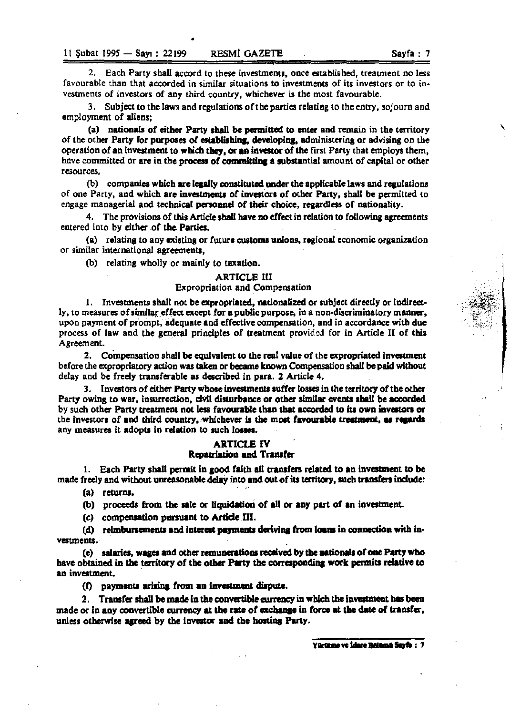2. Each Party shall accord to these investments, once established, treatment no less favourable than that accorded in similar situations to investments of its investors or to investments of investors of any third country, whichever is the most favourable.

3. Subject to the laws and regulations of the parties relating to the entry, sojourn and employment of aliens:

(a) nationals of either Party shall be permitted to enter and remain in the territory of the other Party for purposes of establishing, developing, administering or advising on the operation of an investment to which they, or an investor of the first Party that employs them, have committed or are in the process of committing a substantial amount of capital or other resources.

(b) companies which are legally constituted under the applicable laws and regulations of one Party, and which are investments of investors of other Party, shall be permitted to engage managerial and technical personnel of their choice, regardless of nationality.

4. The provisions of this Article shall have no effect in relation to following agreements entered into by either of the Parties.

(a) relating to any existing or future customs unions, regional economic organization or similar international agreements,

(b) relating wholly or mainly to taxation.

#### **ARTICLE III**

## **Expropriation and Compensation**

1. Investments shall not be expropriated, nationalized or subject directly or indirectly, to measures of similar effect except for a public purpose, in a non-discriminatory manner, upon payment of prompt, adequate and effective compensation, and in accordance with due process of law and the general principles of treatment provided for in Article II of this Agreement.

2. Compensation shall be equivalent to the real value of the expropriated investment before the expropriatory action was taken or became known Compensation shall be paid without delay and be freely transferable as described in para. 2 Article 4.

3. Investors of either Party whose investments suffer losses in the territory of the other Party owing to war, insurrection, civil disturbance or other similar events shall be accorded by such other Party treatment not less favourable than that accorded to its own investors or the investors of and third country, whichever is the most favourable treatment, as regards any measures it adopts in relation to such losses.

## **ARTICLE IV** Repatriation and Transfer

1. Each Party shall permit in good faith all transfers related to an investment to be made freely and without unreasonable delay into and out of its territory, such transfers include:

(a) returns.

(b) proceeds from the sale or liquidation of all or any part of an investment.

(c) compensation pursuant to Article III.

(d) reimbursements and interest payments deriving from loans in connection with investments.

(e) salaries, wages and other remunerations received by the nationals of one Party who have obtained in the territory of the other Party the corresponding work permits relative to an investment.

(f) payments arising from an investment dispute.

2. Transfer shall be made in the convertible currency in which the investment has been made or in any convertible currency at the rate of exchange in force at the date of transfer, unless otherwise agreed by the investor and the hosting Party.

Yürütme ve İdare Bölümü Sayfa: 7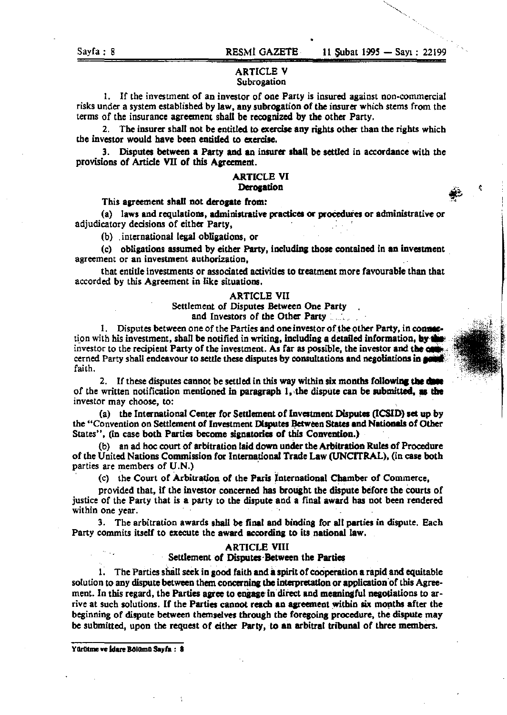#### **ARTICLE V** Subrogation

1. If the investment of an investor of one Party is insured against non-commercial risks under a system established by law, any subrogation of the insurer which stems from the terms of the insurance agreement shall be recognized by the other Party.

2. The insurer shall not be entitled to exercise any rights other than the rights which the investor would have been entitled to exercise.

3. Disputes between a Party and an insurer shall be settled in accordance with the provisions of Article VII of this Agreement.

### **ARTICLE VI** Derogation

## This agreement shall not derogate from:

(a) laws and requlations, administrative practices or procedures or administrative or adjudicatory decisions of either Party,

(b) international legal obligations, or

(c) obligations assumed by either Party, including those contained in an investment agreement or an investment authorization,

that entitle investments or associated activities to treatment more favourable than that accorded by this Agreement in like situations.

#### **ARTICLE VII**

Settlement of Disputes Between One Party and Investors of the Other Party

1. Disputes between one of the Parties and one investor of the other Party, in connuetion with his investment, shall be notified in writing, including a detailed information, by the investor to the recipient Party of the investment. As far as possible, the investor and the con cerned Party shall endeavour to settle these disputes by consultations and negotiations in go faith.

2. If these disputes cannot be settled in this way within six months following the da of the written notification mentioned in paragraph  $1$ , the dispute can be submitted, as the investor may choose, to:

(a) the International Center for Settlement of Investment Disputes (ICSID) set up by the "Convention on Settlement of Investment Disputes Between States and Nationals of Other States", (in case both Parties become signatories of this Convention.)

(b) an ad hoc court of arbitration laid down under the Arbitration Rules of Procedure of the United Nations Commission for International Trade Law (UNCITRAL), (in case both parties are members of U.N.)

(c) the Court of Arbitration of the Paris International Chamber of Commerce,

provided that, if the investor concerned has brought the dispute before the courts of justice of the Party that is a party to the dispute and a final award has not been rendered within one year.

3. The arbitration awards shall be final and binding for all parties in dispute. Each Party commits itself to execute the award according to its national law.

#### **ARTICLE VIII**

## Settlement of Disputes Between the Parties

1. The Parties shall seek in good faith and a spirit of cooperation a rapid and equitable solution to any dispute between them concerning the interpretation or application of this Agreement. In this regard, the Parties agree to engage in direct and meaningful negotiations to arrive at such solutions. If the Parties cannot reach an agreement within six months after the beginning of dispute between themselves through the foregoing procedure, the dispute may be submitted, upon the request of either Party, to an arbitral tribunal of three members.

Yürütme ve İdare Bölümü Sayfa: \$